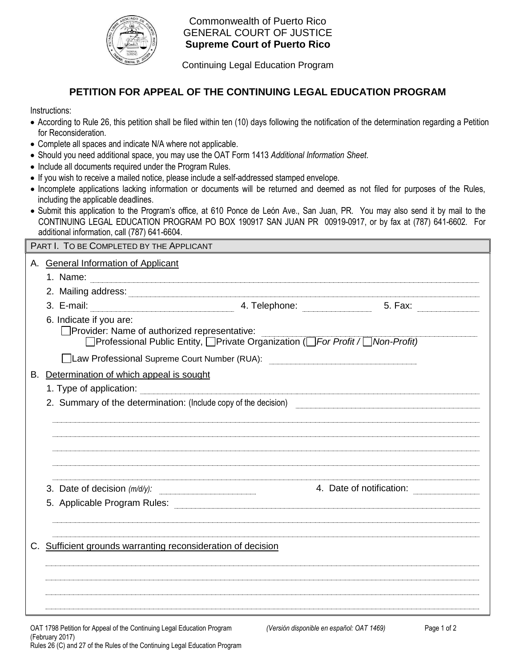

Commonwealth of Puerto Rico GENERAL COURT OF JUSTICE  **Supreme Court of Puerto Rico** 

Continuing Legal Education Program

## **PETITION FOR APPEAL OF THE CONTINUING LEGAL EDUCATION PROGRAM**

Instructions:

- According to Rule 26, this petition shall be filed within ten (10) days following the notification of the determination regarding a Petition for Reconsideration.
- Complete all spaces and indicate N/A where not applicable.
- Should you need additional space, you may use the OAT Form 1413 *Additional Information Sheet*.
- Include all documents required under the Program Rules.
- If you wish to receive a mailed notice, please include a self-addressed stamped envelope.
- Incomplete applications lacking information or documents will be returned and deemed as not filed for purposes of the Rules, including the applicable deadlines.
- Submit this application to the Program's office, at 610 Ponce de León Ave., San Juan, PR. You may also send it by mail to the CONTINUING LEGAL EDUCATION PROGRAM PO BOX 190917 SAN JUAN PR 00919-0917, or by fax at (787) 641-6602. For additional information, call (787) 641-6604.

|  | PART I. TO BE COMPLETED BY THE APPLICANT                                                                                                                                                                                                                                    |                                                                                                                                                                                                                                       |                          |  |  |
|--|-----------------------------------------------------------------------------------------------------------------------------------------------------------------------------------------------------------------------------------------------------------------------------|---------------------------------------------------------------------------------------------------------------------------------------------------------------------------------------------------------------------------------------|--------------------------|--|--|
|  | A. General Information of Applicant<br>1. Name: <u>2000 - 2000 - 2000 - 2000 - 2000 - 2000 - 2000 - 2000 - 2000 - 2000 - 2000 - 2000 - 2000 - 2000 - 2000 - 2000 - 2000 - 2000 - 2000 - 2000 - 2000 - 2000 - 2000 - 2000 - 2000 - 2000 - 2000 - 2000 - 2000 - 2000 - 20</u> |                                                                                                                                                                                                                                       |                          |  |  |
|  |                                                                                                                                                                                                                                                                             |                                                                                                                                                                                                                                       |                          |  |  |
|  | 2. Mailing address: 2000 Contract and Contract and Contract and Contract and Contract and Contract and Contract and Contract and Contract and Contract and Contract and Contract and Contract and Contract and Contract and Co<br>3. E-mail:                                | <u>динами в тенерhone:</u> Сала и Сала и Сала и Сала и Сала и Сала и Сала и Сала и Сала и Сала и Сала и Сала и Сала и<br>В собирает составил в собствении с собствении с собствении с собствении с собствении с собствении с собствен |                          |  |  |
|  | 6. Indicate if you are:<br>Provider: Name of authorized representative:                                                                                                                                                                                                     | □Professional Public Entity, □Private Organization (□For Profit / □ Non-Profit)                                                                                                                                                       |                          |  |  |
|  | Law Professional Supreme Court Number (RUA): Law Professional Supreme Court Number (RUA):                                                                                                                                                                                   |                                                                                                                                                                                                                                       |                          |  |  |
|  | B. Determination of which appeal is sought                                                                                                                                                                                                                                  |                                                                                                                                                                                                                                       |                          |  |  |
|  | 1. Type of application: <u>contract and a set of the set of the set of the set of the set of the set of the set of</u>                                                                                                                                                      |                                                                                                                                                                                                                                       |                          |  |  |
|  | 2. Summary of the determination: (Include copy of the decision)                                                                                                                                                                                                             |                                                                                                                                                                                                                                       |                          |  |  |
|  |                                                                                                                                                                                                                                                                             |                                                                                                                                                                                                                                       |                          |  |  |
|  | 3. Date of decision $(m/d/y)$ :                                                                                                                                                                                                                                             |                                                                                                                                                                                                                                       | 4. Date of notification: |  |  |
|  |                                                                                                                                                                                                                                                                             |                                                                                                                                                                                                                                       |                          |  |  |
|  | Sufficient grounds warranting reconsideration of decision                                                                                                                                                                                                                   |                                                                                                                                                                                                                                       |                          |  |  |
|  |                                                                                                                                                                                                                                                                             |                                                                                                                                                                                                                                       |                          |  |  |